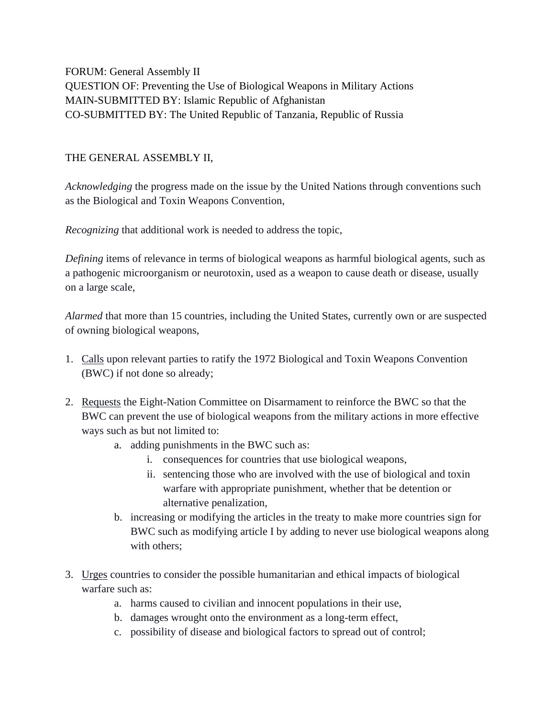FORUM: General Assembly II QUESTION OF: Preventing the Use of Biological Weapons in Military Actions MAIN-SUBMITTED BY: Islamic Republic of Afghanistan CO-SUBMITTED BY: The United Republic of Tanzania, Republic of Russia

## THE GENERAL ASSEMBLY II,

*Acknowledging* the progress made on the issue by the United Nations through conventions such as the Biological and Toxin Weapons Convention,

*Recognizing* that additional work is needed to address the topic,

*Defining* items of relevance in terms of biological weapons as harmful biological agents, such as a pathogenic microorganism or neurotoxin, used as a weapon to cause death or disease, usually on a large scale,

*Alarmed* that more than 15 countries, including the United States, currently own or are suspected of owning biological weapons,

- 1. Calls upon relevant parties to ratify the 1972 Biological and Toxin Weapons Convention (BWC) if not done so already;
- 2. Requests the Eight-Nation Committee on Disarmament to reinforce the BWC so that the BWC can prevent the use of biological weapons from the military actions in more effective ways such as but not limited to:
	- a. adding punishments in the BWC such as:
		- i. consequences for countries that use biological weapons,
		- ii. sentencing those who are involved with the use of biological and toxin warfare with appropriate punishment, whether that be detention or alternative penalization,
	- b. increasing or modifying the articles in the treaty to make more countries sign for BWC such as modifying article I by adding to never use biological weapons along with others:
- 3. Urges countries to consider the possible humanitarian and ethical impacts of biological warfare such as:
	- a. harms caused to civilian and innocent populations in their use,
	- b. damages wrought onto the environment as a long-term effect,
	- c. possibility of disease and biological factors to spread out of control;